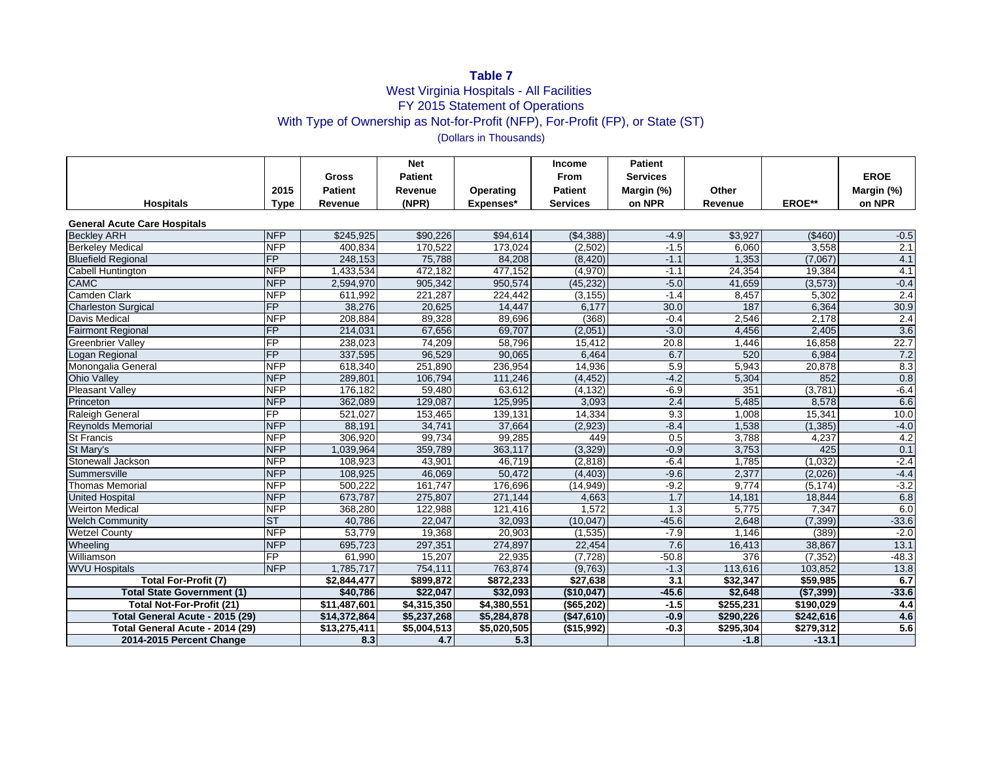### **Table 7**

# West Virginia Hospitals - All Facilities FY 2015 Statement of Operations With Type of Ownership as Not-for-Profit (NFP), For-Profit (FP), or State (ST)

## (Dollars in Thousands)

|                                     | 2015                     | Gross<br><b>Patient</b> | <b>Net</b><br><b>Patient</b><br>Revenue | Operating   | Income<br>From<br><b>Patient</b> | <b>Patient</b><br><b>Services</b><br>Margin (%) | Other     |            | <b>EROE</b><br>Margin (%) |
|-------------------------------------|--------------------------|-------------------------|-----------------------------------------|-------------|----------------------------------|-------------------------------------------------|-----------|------------|---------------------------|
| <b>Hospitals</b>                    | <b>Type</b>              | Revenue                 | (NPR)                                   | Expenses*   | <b>Services</b>                  | on NPR                                          | Revenue   | EROE**     | on NPR                    |
| <b>General Acute Care Hospitals</b> |                          |                         |                                         |             |                                  |                                                 |           |            |                           |
| <b>Beckley ARH</b>                  | <b>NFP</b>               | \$245,925               | \$90,226                                | \$94,614    | (\$4,388)                        | $-4.9$                                          | \$3,927   | (\$460)    | $-0.5$                    |
| <b>Berkeley Medical</b>             | <b>NFP</b>               | 400,834                 | 170,522                                 | 173,024     | (2, 502)                         | $-1.5$                                          | 6,060     | 3,558      | 2.1                       |
| <b>Bluefield Regional</b>           | $\overline{FP}$          | 248,153                 | 75,788                                  | 84,208      | (8, 420)                         | $-1.1$                                          | 1,353     | (7,067)    | 4.1                       |
| Cabell Huntington                   | <b>NFP</b>               | 1,433,534               | 472,182                                 | 477,152     | (4,970)                          | $-1.1$                                          | 24,354    | 19,384     | 4.1                       |
| <b>CAMC</b>                         | <b>NFP</b>               | 2,594,970               | 905,342                                 | 950,574     | (45, 232)                        | $-5.0$                                          | 41,659    | (3, 573)   | $-0.4$                    |
| <b>Camden Clark</b>                 | <b>NFP</b>               | 611,992                 | 221,287                                 | 224,442     | (3, 155)                         | $-1.4$                                          | 8,457     | 5,302      | 2.4                       |
| <b>Charleston Surgical</b>          | $\overline{FP}$          | 38,276                  | 20,625                                  | 14,447      | 6,177                            | 30.0                                            | 187       | 6,364      | 30.9                      |
| Davis Medical                       | <b>NFP</b>               | 208,884                 | 89,328                                  | 89,696      | (368)                            | $-0.4$                                          | 2,546     | 2,178      | 2.4                       |
| <b>Fairmont Regional</b>            | $\overline{FP}$          | 214,031                 | 67,656                                  | 69,707      | (2,051)                          | $-3.0$                                          | 4,456     | 2,405      | 3.6                       |
| <b>Greenbrier Valley</b>            | FP                       | 238,023                 | 74,209                                  | 58,796      | 15,412                           | 20.8                                            | 1,446     | 16,858     | 22.7                      |
| Logan Regional                      | FP                       | 337,595                 | 96,529                                  | 90,065      | 6,464                            | 6.7                                             | 520       | 6,984      | 7.2                       |
| Monongalia General                  | <b>NFP</b>               | 618,340                 | 251,890                                 | 236,954     | 14,936                           | 5.9                                             | 5,943     | 20,878     | 8.3                       |
| <b>Ohio Valley</b>                  | <b>NFP</b>               | 289,801                 | 106,794                                 | 111,246     | (4, 452)                         | $-4.2$                                          | 5,304     | 852        | 0.8                       |
| <b>Pleasant Valley</b>              | <b>NFP</b>               | 176,182                 | 59,480                                  | 63,612      | (4, 132)                         | $-6.9$                                          | 351       | (3,781)    | $-6.4$                    |
| Princeton                           | <b>NFP</b>               | 362,089                 | 129,087                                 | 125,995     | 3,093                            | 2.4                                             | 5,485     | 8,578      | 6.6                       |
| <b>Raleigh General</b>              | $\overline{FP}$          | 521,027                 | 153,465                                 | 139,131     | 14,334                           | 9.3                                             | 1,008     | 15,341     | 10.0                      |
| Reynolds Memorial                   | <b>NFP</b>               | 88,191                  | 34,741                                  | 37,664      | (2,923)                          | $-8.4$                                          | 1,538     | (1, 385)   | $-4.0$                    |
| <b>St Francis</b>                   | <b>NFP</b>               | 306,920                 | 99,734                                  | 99,285      | 449                              | 0.5                                             | 3,788     | 4,237      | 4.2                       |
| St Mary's                           | <b>NFP</b>               | 1,039,964               | 359,789                                 | 363,117     | (3, 329)                         | $-0.9$                                          | 3,753     | 425        | 0.1                       |
| Stonewall Jackson                   | <b>NFP</b>               | 108,923                 | 43,901                                  | 46,719      | (2, 818)                         | $-6.4$                                          | 1,785     | (1,032)    | $-2.4$                    |
| Summersville                        | <b>NFP</b>               | 108,925                 | 46,069                                  | 50,472      | (4, 403)                         | $-9.6$                                          | 2,377     | (2,026)    | $-4.4$                    |
| <b>Thomas Memorial</b>              | <b>NFP</b>               | 500,222                 | 161,747                                 | 176,696     | (14, 949)                        | $-9.2$                                          | 9,774     | (5, 174)   | $-3.2$                    |
| <b>United Hospital</b>              | <b>NFP</b>               | 673,787                 | 275,807                                 | 271,144     | 4,663                            | 1.7                                             | 14,181    | 18,844     | 6.8                       |
| <b>Weirton Medical</b>              | <b>NFP</b>               | 368,280                 | 122,988                                 | 121,416     | 1,572                            | $\overline{1.3}$                                | 5,775     | 7,347      | 6.0                       |
| <b>Welch Community</b>              | <b>ST</b>                | 40,786                  | 22,047                                  | 32,093      | (10, 047)                        | $-45.6$                                         | 2,648     | (7, 399)   | $-33.6$                   |
| <b>Wetzel County</b>                | <b>NFP</b>               | 53,779                  | 19,368                                  | 20,903      | (1,535)                          | $-7.9$                                          | 1,146     | (389)      | $-2.0$                    |
| Wheeling                            | <b>NFP</b>               | 695,723                 | 297,351                                 | 274,897     | 22,454                           | 7.6                                             | 16,413    | 38,867     | 13.1                      |
| Williamson                          | $\overline{\mathsf{FP}}$ | 61,990                  | 15,207                                  | 22,935      | (7, 728)                         | $-50.8$                                         | 376       | (7, 352)   | $-48.3$                   |
| <b>WVU Hospitals</b>                | <b>NFP</b>               | 1,785,717               | 754,111                                 | 763,874     | (9,763)                          | $-1.3$                                          | 113,616   | 103,852    | 13.8                      |
| Total For-Profit (7)                |                          | \$2,844,477             | \$899,872                               | \$872,233   | \$27,638                         | 3.1                                             | \$32,347  | \$59,985   | 6.7                       |
| <b>Total State Government (1)</b>   |                          | \$40,786                | \$22,047                                | \$32,093    | (\$10,047)                       | $-45.6$                                         | \$2,648   | ( \$7,399) | $-33.6$                   |
| <b>Total Not-For-Profit (21)</b>    |                          | \$11,487,601            | \$4,315,350                             | \$4,380,551 | ( \$65, 202)                     | $-1.5$                                          | \$255,231 | \$190,029  | 4.4                       |
| Total General Acute - 2015 (29)     |                          | \$14,372,864            | \$5,237,268                             | \$5,284,878 | (\$47,610)                       | $-0.9$                                          | \$290,226 | \$242,616  | 4.6                       |
| Total General Acute - 2014 (29)     |                          | \$13,275,411            | \$5,004,513                             | \$5,020,505 | (\$15,992)                       | $-0.3$                                          | \$295,304 | \$279,312  | 5.6                       |
| 2014-2015 Percent Change            |                          | 8.3                     | 4.7                                     | 5.3         |                                  |                                                 | $-1.8$    | $-13.1$    |                           |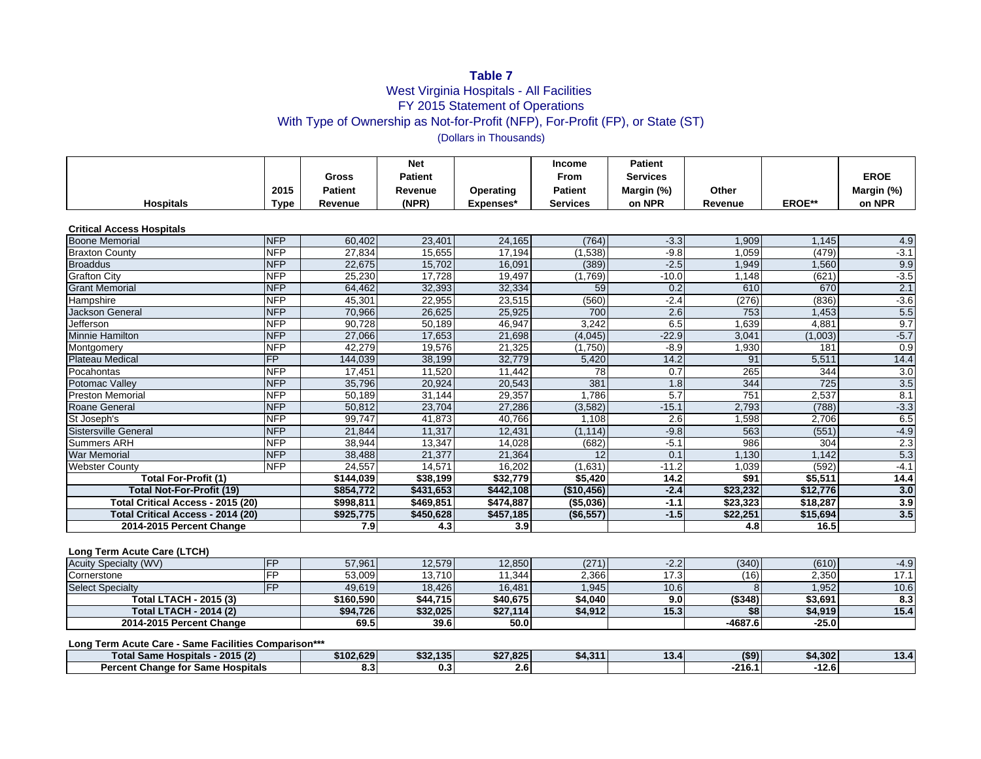### **Table 7**

# West Virginia Hospitals - All Facilities FY 2015 Statement of Operations With Type of Ownership as Not-for-Profit (NFP), For-Profit (FP), or State (ST)

## (Dollars in Thousands)

|                                          |             | <b>Gross</b>   | <b>Net</b><br><b>Patient</b> |           | Income<br>From  | <b>Patient</b><br><b>Services</b> |          |                  | <b>EROE</b> |
|------------------------------------------|-------------|----------------|------------------------------|-----------|-----------------|-----------------------------------|----------|------------------|-------------|
|                                          | 2015        | <b>Patient</b> | Revenue                      | Operating | <b>Patient</b>  | Margin (%)                        | Other    |                  | Margin (%)  |
| <b>Hospitals</b>                         | <b>Type</b> | Revenue        | (NPR)                        | Expenses* | <b>Services</b> | on NPR                            | Revenue  | <b>EROE**</b>    | on NPR      |
|                                          |             |                |                              |           |                 |                                   |          |                  |             |
| <b>Critical Access Hospitals</b>         |             |                |                              |           |                 |                                   |          |                  |             |
| <b>Boone Memorial</b>                    | <b>NFP</b>  | 60,402         | 23,401                       | 24,165    | (764)           | $-3.3$                            | 1,909    | 1,145            | 4.9         |
| <b>Braxton County</b>                    | <b>NFP</b>  | 27,834         | 15,655                       | 17,194    | (1, 538)        | $-9.8$                            | 1,059    | (479)            | $-3.1$      |
| <b>Broaddus</b>                          | <b>NFP</b>  | 22,675         | 15,702                       | 16,091    | (389)           | $-2.5$                            | 1,949    | 1,560            | 9.9         |
| <b>Grafton City</b>                      | <b>NFP</b>  | 25,230         | 17,728                       | 19,497    | (1,769)         | $-10.0$                           | 1,148    | (621)            | $-3.5$      |
| <b>Grant Memorial</b>                    | <b>NFP</b>  | 64.462         | 32,393                       | 32,334    | 59              | 0.2                               | 610      | 670              | 2.1         |
| Hampshire                                | <b>NFP</b>  | 45,301         | 22,955                       | 23,515    | (560)           | $-2.4$                            | (276)    | (836)            | $-3.6$      |
| <b>Jackson General</b>                   | <b>NFP</b>  | 70.966         | 26,625                       | 25,925    | 700             | 2.6                               | 753      | 1,453            | 5.5         |
| Jefferson                                | <b>NFP</b>  | 90.728         | 50.189                       | 46.947    | 3.242           | 6.5                               | 1,639    | 4.881            | 9.7         |
| <b>Minnie Hamilton</b>                   | <b>NFP</b>  | 27,066         | 17,653                       | 21,698    | (4,045)         | $-22.9$                           | 3,041    | (1,003)          | $-5.7$      |
| Montgomery                               | <b>NFP</b>  | 42,279         | 19,576                       | 21,325    | (1,750)         | $-8.9$                            | 1,930    | 181              | 0.9         |
| <b>Plateau Medical</b>                   | FP          | 144,039        | 38,199                       | 32,779    | 5,420           | 14.2                              | 91       | 5,511            | 14.4        |
| Pocahontas                               | <b>NFP</b>  | 17,451         | 11,520                       | 11,442    | 78              | 0.7                               | 265      | 344              | 3.0         |
| Potomac Valley                           | <b>NFP</b>  | 35,796         | 20,924                       | 20,543    | 381             | 1.8                               | 344      | $\overline{725}$ | 3.5         |
| <b>Preston Memorial</b>                  | <b>NFP</b>  | 50,189         | 31,144                       | 29,357    | 1.786           | 5.7                               | 751      | 2,537            | 8.1         |
| <b>Roane General</b>                     | <b>NFP</b>  | 50,812         | 23,704                       | 27,286    | (3, 582)        | $-15.1$                           | 2,793    | (788)            | $-3.3$      |
| St Joseph's                              | <b>NFP</b>  | 99,747         | 41,873                       | 40,766    | 1,108           | 2.6                               | 1,598    | 2,706            | 6.5         |
| Sistersville General                     | <b>NFP</b>  | 21,844         | 11,317                       | 12,431    | (1, 114)        | $-9.8$                            | 563      | (551)            | $-4.9$      |
| <b>Summers ARH</b>                       | <b>NFP</b>  | 38,944         | 13,347                       | 14,028    | (682)           | $-5.1$                            | 986      | 304              | 2.3         |
| <b>War Memorial</b>                      | <b>NFP</b>  | 38.488         | 21,377                       | 21,364    | 12              | 0.1                               | 1.130    | 1.142            | 5.3         |
| <b>Webster County</b>                    | <b>NFP</b>  | 24,557         | 14,571                       | 16,202    | (1,631)         | $-11.2$                           | 1,039    | (592)            | $-4.1$      |
| <b>Total For-Profit (1)</b>              |             | \$144,039      | \$38,199                     | \$32,779  | \$5,420         | 14.2                              | \$91     | \$5,511          | 14.4        |
| <b>Total Not-For-Profit (19)</b>         |             | \$854,772      | \$431,653                    | \$442,108 | (\$10,456)      | $-2.4$                            | \$23,232 | \$12,776         | 3.0         |
| <b>Total Critical Access - 2015 (20)</b> |             | \$998.811      | \$469.851                    | \$474,887 | ( \$5,036)      | $-1.1$                            | \$23,323 | \$18,287         | 3.9         |
| Total Critical Access - 2014 (20)        |             | \$925,775      | \$450,628                    | \$457,185 | ( \$6,557)      | $-1.5$                            | \$22,251 | \$15,694         | 3.5         |
| 2014-2015 Percent Change                 |             | 7.9            | 4.3                          | 3.9       |                 |                                   | 4.8      | 16.5             |             |

#### **Long Term Acute Care (LTCH)**

| <b>Acuity Specialty (WV)</b>  | 57,961    | 12,579   | 12,850   | (271)   | ົ<br>ے. ے | (340)     | (610)   | $-4.9$ |
|-------------------------------|-----------|----------|----------|---------|-----------|-----------|---------|--------|
| Cornerstone                   | 53.009    | 13.710   | 1.344    | 2,366   |           | (16)      | 2,350   | 17.    |
| <b>Select Specialty</b>       | 49.619    | 18.426   | 16.481   | .945    | 10.6      |           | 1,952   | 10.6   |
| <b>Total LTACH - 2015 (3)</b> | \$160,590 | \$44,715 | \$40,675 | \$4,040 | 9.0       | (\$348)   | \$3,691 | 8.3    |
| Total LTACH - 2014 (2)        | \$94,726  | \$32,025 | \$27,114 | \$4,912 | 15.3      | \$8       | \$4,919 | 15.4   |
| 2014-2015 Percent Change      | 69.5      | 39.6     | 50.0     |         |           | $-4687.6$ | $-25.0$ |        |

#### **Long Term Acute Care - Same Facilities Comparison\*\*\***

| 2015(2)<br>Total<br>. Com<br><b>Hospitals</b><br>Баше | \$102.629 | 135 <br>$+22$<br>DJZ. | \$27.825   | \$4.311 | 13.4 | (S9)  | \$4.302  | $\overline{\phantom{a}}$<br>$\overline{ }$<br>10.4 |
|-------------------------------------------------------|-----------|-----------------------|------------|---------|------|-------|----------|----------------------------------------------------|
| <b>Change for</b><br>Hospitals<br>Same<br>Percent .   | o.əl      | 0.3                   | . .<br>∠.o |         |      | 216.1 | <br>14.0 |                                                    |